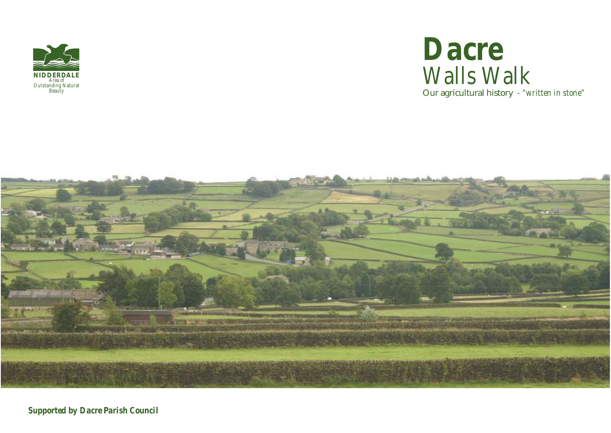

# Our agricultural history *- "written in stone" Dacre Walls Walk*



*Supported by Dacre Parish Council*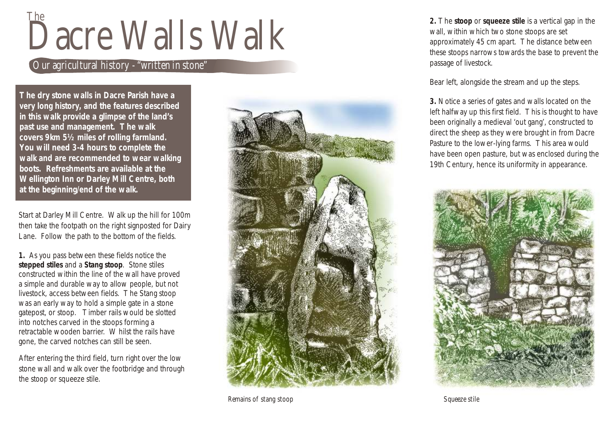# Dacre Walls Walk The

### Our agricultural history - "written in stone"

**The dry stone walls in Dacre Parish have a very long history, and the features described in this walk provide a glimpse of the land's past use and management. The walk covers 9km 5½ miles of rolling farmland. You will need 3-4 hours to complete the walk and are recommended to wear walking boots. Refreshments are available at the Wellington Inn or Darley Mill Centre, both at the beginning/end of the walk.**

Start at Darley Mill Centre. Walk up the hill for 100m then take the footpath on the right signposted for Dairy Lane. Follow the path to the bottom of the fields.

**1.** As you pass between these fields notice the **stepped stiles** and a **Stang stoop**. Stone stiles constructed within the line of the wall have proved a simple and durable way to allow people, but not livestock, access between fields. The Stang stoop was an early way to hold a simple gate in a stone gatepost, or stoop. Timber rails would be slotted into notches carved in the stoops forming a retractable wooden barrier. Whilst the rails have gone, the carved notches can still be seen.

After entering the third field, turn right over the low stone wall and walk over the footbridge and through the stoop or squeeze stile.



*Remains of stang stoop Squeeze stile*

**2.** The **stoop** or **squeeze stile** is a vertical gap in the wall, within which two stone stoops are set approximately 45 cm apart. The distance between these stoops narrows towards the base to prevent the passage of livestock.

Bear left, alongside the stream and up the steps.

**3.** Notice a series of gates and walls located on the left halfway up this first field. This is thought to have been originally a medieval 'out gang', constructed to direct the sheep as they were brought in from Dacre Pasture to the lower-lying farms. This area would have been open pasture, but was enclosed during the 19th Century, hence its uniformity in appearance.

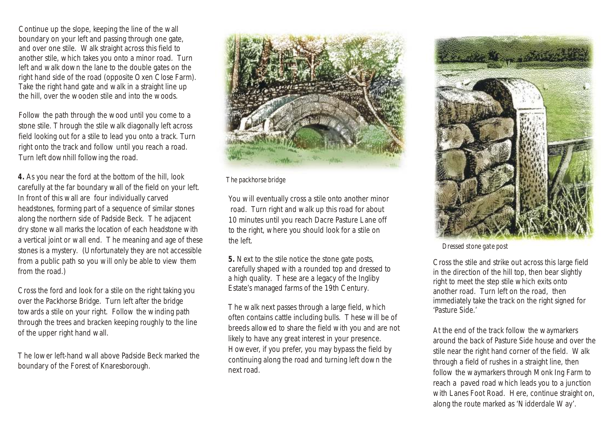Continue up the slope, keeping the line of the wall boundary on your left and passing through one gate, and over one stile. Walk straight across this field to another stile, which takes you onto a minor road. Turn left and walk down the lane to the double gates on the right hand side of the road (opposite Oxen Close Farm). Take the right hand gate and walk in a straight line up the hill, over the wooden stile and into the woods.

Follow the path through the wood until you come to a stone stile. Through the stile walk diagonally left across field looking out for a stile to lead you onto a track. Turn right onto the track and follow until you reach a road. Turn left downhill following the road.

**4.** As you near the ford at the bottom of the hill, look carefully at the far boundary wall of the field on your left. In front of this wall are four individually carved headstones, forming part of a sequence of similar stones along the northern side of Padside Beck. The adjacent dry stone wall marks the location of each headstone with a vertical joint or wall end. The meaning and age of these stones is a mystery. (Unfortunately they are not accessible from a public path so you will only be able to view them from the road.)

Cross the ford and look for a stile on the right taking you over the Packhorse Bridge. Turn left after the bridge towards a stile on your right. Follow the winding path through the trees and bracken keeping roughly to the line of the upper right hand wall.

The lower left-hand wall above Padside Beck marked the boundary of the Forest of Knaresborough.



*The packhorse bridge*

You will eventually cross a stile onto another minor road. Turn right and walk up this road for about 10 minutes until you reach Dacre Pasture Lane off to the right, where you should look for a stile on the left. *Dressed stone gate post*

**5.** Next to the stile notice the stone gate posts, carefully shaped with a rounded top and dressed to a high quality. These are a legacy of the Ingliby Estate's managed farms of the 19th Century.

The walk next passes through a large field, which often contains cattle including bulls. These will be of breeds allowed to share the field with you and are not likely to have any great interest in your presence. However, if you prefer, you may bypass the field by continuing along the road and turning left down the next road.



Cross the stile and strike out across this large field in the direction of the hill top, then bear slightly right to meet the step stile which exits onto another road. Turn left on the road, then immediately take the track on the right signed for 'Pasture Side.'

At the end of the track follow the waymarkers around the back of Pasture Side house and over the stile near the right hand corner of the field. Walk through a field of rushes in a straight line, then follow the waymarkers through Monk Ing Farm to reach a paved road which leads you to a junction with Lanes Foot Road. Here, continue straight on, along the route marked as 'Nidderdale Way'.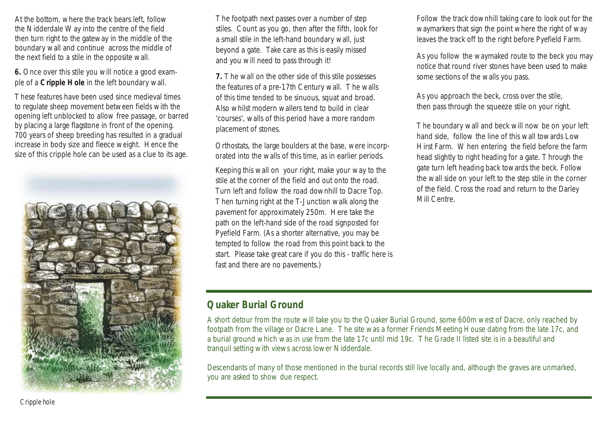At the bottom, where the track bears left, follow the Nidderdale Way into the centre of the field then turn right to the gateway in the middle of the boundary wall and continue across the middle of the next field to a stile in the opposite wall.

**6.** Once over this stile you will notice a good example of a **Cripple Hole** in the left boundary wall.

These features have been used since medieval times to regulate sheep movement between fields with the opening left unblocked to allow free passage, or barred by placing a large flagstone in front of the opening. 700 years of sheep breeding has resulted in a gradual increase in body size and fleece weight. Hence the size of this cripple hole can be used as a clue to its age.



The footpath next passes over a number of step stiles. Count as you go, then after the fifth, look for a small stile in the left-hand boundary wall, just beyond a gate. Take care as this is easily missed and you will need to pass through it!

**7.** The wall on the other side of this stile possesses the features of a pre-17th Century wall. The walls of this time tended to be sinuous, squat and broad. Also whilst modern wallers tend to build in clear 'courses', walls of this period have a more random placement of stones.

Orthostats, the large boulders at the base, were incorporated into the walls of this time, as in earlier periods.

Keeping this wall on your right, make your way to the stile at the corner of the field and out onto the road. Turn left and follow the road downhill to Dacre Top. Then turning right at the T-Junction walk along the pavement for approximately 250m. Here take the path on the left-hand side of the road signposted for Pyefield Farm. (As a shorter alternative, you may be tempted to follow the road from this point back to the start. Please take great care if you do this - traffic here is fast and there are no pavements.)

Follow the track downhill taking care to look out for the waymarkers that sign the point where the right of way leaves the track off to the right before Pyefield Farm.

As you follow the waymaked route to the beck you may notice that round river stones have been used to make some sections of the walls you pass.

As you approach the beck, cross over the stile, then pass through the squeeze stile on your right.

The boundary wall and beck will now be on your left hand side, follow the line of this wall towards Low Hirst Farm. When entering the field before the farm head slightly to right heading for a gate. Through the gate turn left heading back towards the beck. Follow the wall side on your left to the step stile in the corner of the field. Cross the road and return to the Darley Mill Centre.

## **Quaker Burial Ground**

A short detour from the route will take you to the Quaker Burial Ground, some 600m west of Dacre, only reached by footpath from the village or Dacre Lane. The site was a former Friends Meeting House dating from the late 17c, and a burial ground which was in use from the late 17c until mid 19c. The Grade II listed site is in a beautiful and tranquil setting with views across lower Nidderdale.

Descendants of many of those mentioned in the burial records still live locally and, although the graves are unmarked, you are asked to show due respect.